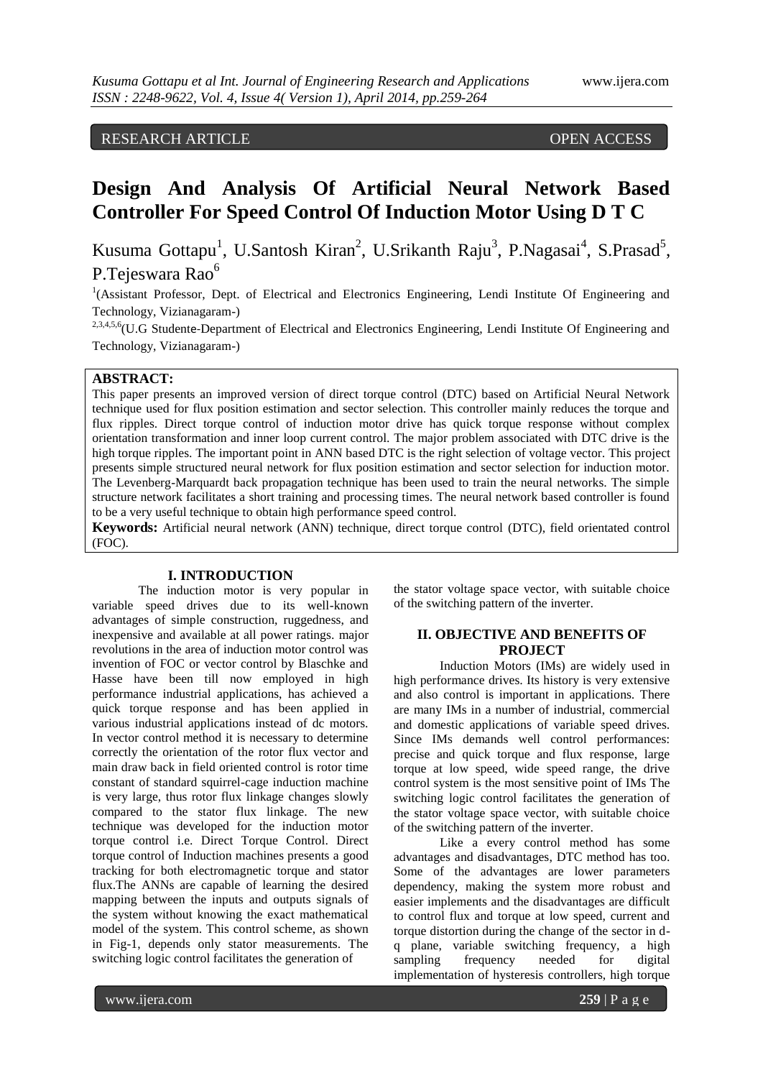## RESEARCH ARTICLE OPEN ACCESS

# **Design And Analysis Of Artificial Neural Network Based Controller For Speed Control Of Induction Motor Using D T C**

Kusuma Gottapu<sup>1</sup>, U.Santosh Kiran<sup>2</sup>, U.Srikanth Raju<sup>3</sup>, P.Nagasai<sup>4</sup>, S.Prasad<sup>5</sup>, P.Tejeswara Rao<sup>6</sup>

<sup>1</sup>(Assistant Professor, Dept. of Electrical and Electronics Engineering, Lendi Institute Of Engineering and Technology, Vizianagaram-)

<sup>2,3,4,5,6</sup>(U.G Studente-Department of Electrical and Electronics Engineering, Lendi Institute Of Engineering and Technology, Vizianagaram-)

## **ABSTRACT:**

This paper presents an improved version of direct torque control (DTC) based on Artificial Neural Network technique used for flux position estimation and sector selection. This controller mainly reduces the torque and flux ripples. Direct torque control of induction motor drive has quick torque response without complex orientation transformation and inner loop current control. The major problem associated with DTC drive is the high torque ripples. The important point in ANN based DTC is the right selection of voltage vector. This project presents simple structured neural network for flux position estimation and sector selection for induction motor. The Levenberg-Marquardt back propagation technique has been used to train the neural networks. The simple structure network facilitates a short training and processing times. The neural network based controller is found to be a very useful technique to obtain high performance speed control.

**Keywords:** Artificial neural network (ANN) technique, direct torque control (DTC), field orientated control (FOC).

#### **I. INTRODUCTION**

The induction motor is very popular in variable speed drives due to its well-known advantages of simple construction, ruggedness, and inexpensive and available at all power ratings. major revolutions in the area of induction motor control was invention of FOC or vector control by Blaschke and Hasse have been till now employed in high performance industrial applications, has achieved a quick torque response and has been applied in various industrial applications instead of dc motors. In vector control method it is necessary to determine correctly the orientation of the rotor flux vector and main draw back in field oriented control is rotor time constant of standard squirrel-cage induction machine is very large, thus rotor flux linkage changes slowly compared to the stator flux linkage. The new technique was developed for the induction motor torque control i.e. Direct Torque Control. Direct torque control of Induction machines presents a good tracking for both electromagnetic torque and stator flux.The ANNs are capable of learning the desired mapping between the inputs and outputs signals of the system without knowing the exact mathematical model of the system. This control scheme, as shown in Fig-1, depends only stator measurements. The switching logic control facilitates the generation of

the stator voltage space vector, with suitable choice of the switching pattern of the inverter.

## **II. OBJECTIVE AND BENEFITS OF PROJECT**

Induction Motors (IMs) are widely used in high performance drives. Its history is very extensive and also control is important in applications. There are many IMs in a number of industrial, commercial and domestic applications of variable speed drives. Since IMs demands well control performances: precise and quick torque and flux response, large torque at low speed, wide speed range, the drive control system is the most sensitive point of IMs The switching logic control facilitates the generation of the stator voltage space vector, with suitable choice of the switching pattern of the inverter.

Like a every control method has some advantages and disadvantages, DTC method has too. Some of the advantages are lower parameters dependency, making the system more robust and easier implements and the disadvantages are difficult to control flux and torque at low speed, current and torque distortion during the change of the sector in dq plane, variable switching frequency, a high sampling frequency needed for digital implementation of hysteresis controllers, high torque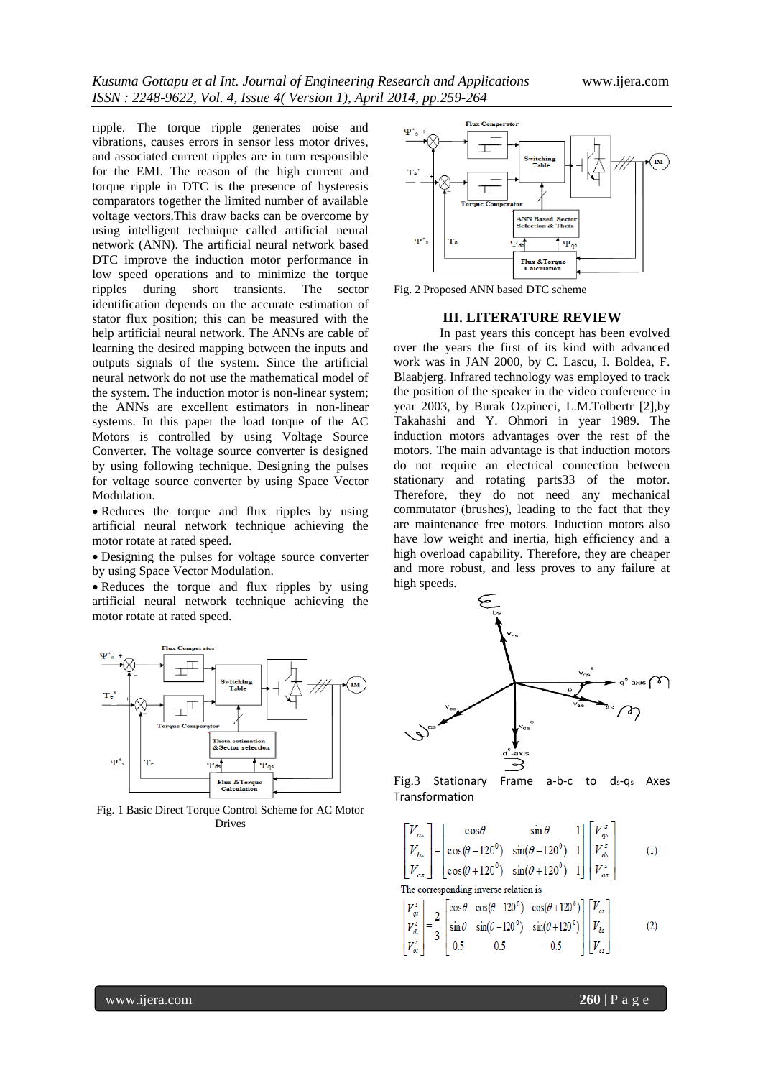ripple. The torque ripple generates noise and vibrations, causes errors in sensor less motor drives, and associated current ripples are in turn responsible for the EMI. The reason of the high current and torque ripple in DTC is the presence of hysteresis comparators together the limited number of available voltage vectors.This draw backs can be overcome by using intelligent technique called artificial neural network (ANN). The artificial neural network based DTC improve the induction motor performance in low speed operations and to minimize the torque ripples during short transients. The sector identification depends on the accurate estimation of stator flux position; this can be measured with the help artificial neural network. The ANNs are cable of learning the desired mapping between the inputs and outputs signals of the system. Since the artificial neural network do not use the mathematical model of the system. The induction motor is non-linear system; the ANNs are excellent estimators in non-linear systems. In this paper the load torque of the AC Motors is controlled by using Voltage Source Converter. The voltage source converter is designed by using following technique. Designing the pulses for voltage source converter by using Space Vector Modulation.

• Reduces the torque and flux ripples by using artificial neural network technique achieving the motor rotate at rated speed.

Designing the pulses for voltage source converter by using Space Vector Modulation.

Reduces the torque and flux ripples by using artificial neural network technique achieving the motor rotate at rated speed.



Fig. 1 Basic Direct Torque Control Scheme for AC Motor Drives



Fig. 2 Proposed ANN based DTC scheme

#### **III. LITERATURE REVIEW**

In past years this concept has been evolved over the years the first of its kind with advanced work was in JAN 2000, by C. Lascu, I. Boldea, F. Blaabjerg. Infrared technology was employed to track the position of the speaker in the video conference in year 2003, by Burak Ozpineci, L.M.Tolbertr [2],by Takahashi and Y. Ohmori in year 1989. The induction motors advantages over the rest of the motors. The main advantage is that induction motors do not require an electrical connection between stationary and rotating parts33 of the motor. Therefore, they do not need any mechanical commutator (brushes), leading to the fact that they are maintenance free motors. Induction motors also have low weight and inertia, high efficiency and a high overload capability. Therefore, they are cheaper and more robust, and less proves to any failure at high speeds.



Fig.3 Stationary Frame a-b-c to ds-qs Axes Transformation

$$
\begin{bmatrix} V_{as} \\ V_{bs} \\ V_{cs} \end{bmatrix} = \begin{bmatrix} \cos\theta & \sin\theta & 1 \\ \cos(\theta - 120^\circ) & \sin(\theta - 120^\circ) & 1 \\ \cos(\theta + 120^\circ) & \sin(\theta + 120^\circ) & 1 \end{bmatrix} \begin{bmatrix} V_{gs}^s \\ V_{ds}^s \\ V_{os}^s \end{bmatrix}
$$
 (1)

The corresponding inverse relation is

$$
\begin{bmatrix} V_{qz}^{z} \\ V_{qz}^{z} \\ V_{qz}^{z} \\ V_{\alpha z}^{z} \end{bmatrix} = \frac{2}{3} \begin{bmatrix} \cos\theta & \cos(\theta - 120^{\circ}) & \cos(\theta + 120^{\circ}) \\ \sin\theta & \sin(\theta - 120^{\circ}) & \sin(\theta + 120^{\circ}) \\ 0.5 & 0.5 & 0.5 \end{bmatrix} \begin{bmatrix} V_{az} \\ V_{bz} \\ V_{cz} \end{bmatrix}
$$
 (2)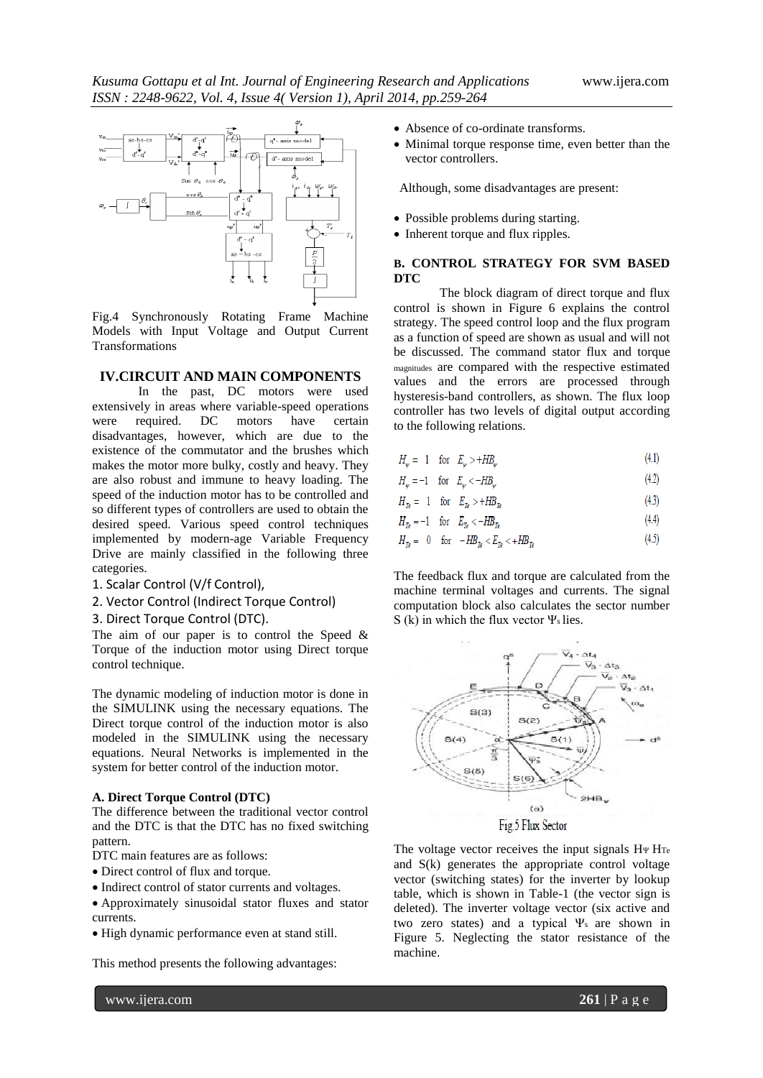

Fig.4 Synchronously Rotating Frame Machine Models with Input Voltage and Output Current Transformations

## **IV.CIRCUIT AND MAIN COMPONENTS**

In the past, DC motors were used extensively in areas where variable-speed operations were required. DC motors have certain disadvantages, however, which are due to the existence of the commutator and the brushes which makes the motor more bulky, costly and heavy. They are also robust and immune to heavy loading. The speed of the induction motor has to be controlled and so different types of controllers are used to obtain the desired speed. Various speed control techniques implemented by modern-age Variable Frequency Drive are mainly classified in the following three categories.

- 1. Scalar Control (V/f Control),
- 2. Vector Control (Indirect Torque Control)
- 3. Direct Torque Control (DTC).

The aim of our paper is to control the Speed & Torque of the induction motor using Direct torque control technique.

The dynamic modeling of induction motor is done in the SIMULINK using the necessary equations. The Direct torque control of the induction motor is also modeled in the SIMULINK using the necessary equations. Neural Networks is implemented in the system for better control of the induction motor.

#### **A. Direct Torque Control (DTC)**

The difference between the traditional vector control and the DTC is that the DTC has no fixed switching pattern.

- DTC main features are as follows:
- Direct control of flux and torque.
- Indirect control of stator currents and voltages.
- Approximately sinusoidal stator fluxes and stator currents.
- High dynamic performance even at stand still.

This method presents the following advantages:

- Absence of co-ordinate transforms.
- Minimal torque response time, even better than the vector controllers.

Although, some disadvantages are present:

- Possible problems during starting.
- Inherent torque and flux ripples.

## **B. CONTROL STRATEGY FOR SVM BASED DTC**

The block diagram of direct torque and flux control is shown in Figure 6 explains the control strategy. The speed control loop and the flux program as a function of speed are shown as usual and will not be discussed. The command stator flux and torque magnitudes are compared with the respective estimated values and the errors are processed through hysteresis-band controllers, as shown. The flux loop controller has two levels of digital output according to the following relations.

- $H_{\dots} = 1$  for  $E_{\dots} > +HB_{\dots}$  $(4.1)$
- $H_w = -1$  for  $E_w < -HB_w$  $(4.2)$
- $H_{\tau_e} = 1$  for  $E_{\tau_e} > +H B_{\tau_e}$  $(4.3)$

$$
H_{Te} = -1 \quad \text{for} \quad E_{Te} < -H\!B_{Te} \tag{4.4}
$$

$$
H_{Te} = 0 \quad \text{for} \quad -H B_{Te} < E_{Te} < +H B_{Te} \tag{4.5}
$$

The feedback flux and torque are calculated from the machine terminal voltages and currents. The signal computation block also calculates the sector number S (k) in which the flux vector Ψs lies.



The voltage vector receives the input signals HΨ HTe and S(k) generates the appropriate control voltage vector (switching states) for the inverter by lookup table, which is shown in Table-1 (the vector sign is deleted). The inverter voltage vector (six active and two zero states) and a typical Ψs are shown in Figure 5. Neglecting the stator resistance of the machine.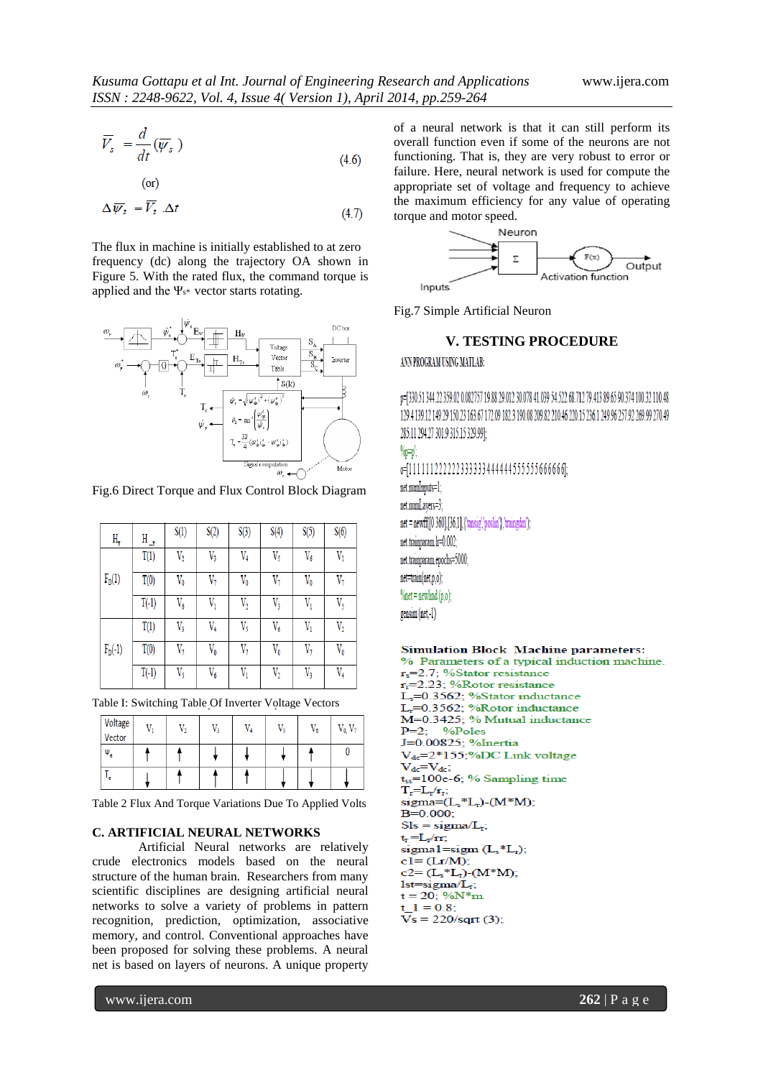$$
\overline{V}_s = \frac{d}{dt}(\overline{W}_s)
$$
\n(4.6)

$$
\left( \text{or} \right)
$$

$$
\Delta \overline{\psi}_s = V_s \cdot \Delta t \tag{4.7}
$$

The flux in machine is initially established to at zero frequency (dc) along the trajectory OA shown in Figure 5. With the rated flux, the command torque is applied and the  $\Psi_{s^*}$  vector starts rotating.



Fig.6 Direct Torque and Flux Control Block Diagram

| H,        | H_,     | S(1)           | S(2)        | S(3)           | S(4)      | S(5)      | S(6)      |
|-----------|---------|----------------|-------------|----------------|-----------|-----------|-----------|
| $F_D(1)$  | T(1)    | $V_2$          | V3          | $V_4$          | $V_5$     | $V_6$     | $V_1$     |
|           | T(0)    | $\rm V_0$      | $V_7$       | $V_0$          | $V_7$     | $\rm V_0$ | $V_7$     |
|           | $T(-1)$ | $V_6$          | $V_1$       | $\rm V_2$      | $V_{3}$   | $V_1$     | V5        |
| $F_D(-1)$ | T(1)    | $\mathrm{V}_3$ | $V_4$       | $V_5$          | $V_6$     | $V_1$     | $V_2$     |
|           | T(0)    | $V_7$          | $\rm V_{0}$ | $V_7$          | $V_0$     | $V_7$     | $\rm V_0$ |
|           | $T(-1)$ | V5             | V6          | $\mathrm{V}_1$ | $\rm V_2$ | V3        | $V_4$     |

Table I: Switching Table Of Inverter Voltage Vectors

| Voltage<br>Vector | V, | $\mathrm{V}_2$ | V, | $V_4$ | V٢ | $\rm V_{6}$ | $\mathrm{V}_0, \mathrm{V}_7$ |
|-------------------|----|----------------|----|-------|----|-------------|------------------------------|
| $\Psi_e$          |    |                |    |       |    |             |                              |
| ۾ ا               |    |                |    |       |    |             |                              |

Table 2 Flux And Torque Variations Due To Applied Volts

#### **C. ARTIFICIAL NEURAL NETWORKS**

Artificial Neural networks are relatively crude electronics models based on the neural structure of the human brain. Researchers from many scientific disciplines are designing artificial neural networks to solve a variety of problems in pattern recognition, prediction, optimization, associative memory, and control. Conventional approaches have been proposed for solving these problems. A neural net is based on layers of neurons. A unique property of a neural network is that it can still perform its overall function even if some of the neurons are not functioning. That is, they are very robust to error or failure. Here, neural network is used for compute the appropriate set of voltage and frequency to achieve the maximum efficiency for any value of operating torque and motor speed.



Fig.7 Simple Artificial Neuron

## **V. TESTING PROCEDURE**

#### ANN PROGRAM USING MATLAB:

p=[330.51 344.22 359.02 0.082757 19.88 29.012 30.078 41.039 54.522 68.712 79.413 89.65 90.374 100.32 110.48 129.4 139.12 149.29 150.23 163.67 172.09 182.3 190.08 209.82 210.46 220.15 236.1 249.96 257.92 269.99 270.49 285.11 294.27 301.9 315.15 329.99];  $\%p=p$ 

0=[11111122222233333444444555555666666]; net.numInouts=1: net.numLavers=3:  $net = newff([0 360],[36,1],{'tansig',poshn'};{'trangdm'}$ net.trainparam.lr=0.002: net.trainparam.epochs=5000 net=train(net.p.o);

 $\%$ net = newlind (p,o); gensim (net.-1)

## **Simulation Block Machine parameters:**

% Parameters of a typical induction machine.  $r_s = 2.7$ ; %Stator resistance  $r_r = 2.23$ ; %Rotor resistance L<sub>s</sub>=0.3562; %Stator inductance  $L_r = 0.3562$ ; %Rotor inductance M=0.3425; % Mutual inductance %Poles  $P=2$ J=0.00825; %Inertia  $V_{dc}$ =2\*155;%DC Link voltage  $V_{dc} = V_{dc}$  $t_{ss}$ =100e-6; % Sampling time  $\label{eq:Tr} T_r\!\!=\!\!L_r\!\slash\!r_r;$ sigma= $(L_s * L_r)$ - $(M * M)$ ;  $B=0.000;$  $Sls = sigma/L_r;$  $t_r = L_r / r r$ ; sigmal=sigm $(L<sub>s</sub>*L<sub>r</sub>)$ ;  $cl = (Lr/M);$  $c2 = (L_s * L_r) - (M * M);$  $1st = sigma/L<sub>r</sub>;$  $t = 20$ ; %N\*m  $1 = 0.8$  $Vs = 220/sqrt(3);$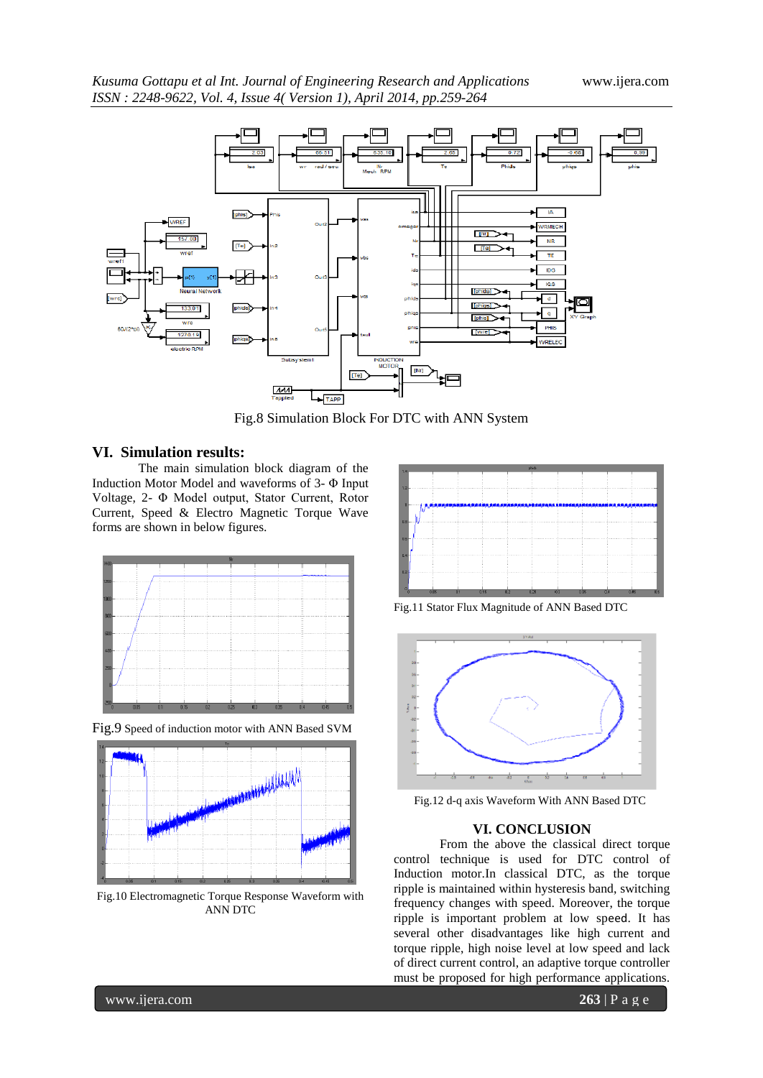

Fig.8 Simulation Block For DTC with ANN System

## **VI. Simulation results:**

The main simulation block diagram of the Induction Motor Model and waveforms of 3- Φ Input Voltage, 2- Φ Model output, Stator Current, Rotor Current, Speed & Electro Magnetic Torque Wave forms are shown in below figures.



Fig.9 Speed of induction motor with ANN Based SVM



Fig.10 Electromagnetic Torque Response Waveform with ANN DTC



Fig.11 Stator Flux Magnitude of ANN Based DTC



Fig.12 d-q axis Waveform With ANN Based DTC

## **VI. CONCLUSION**

From the above the classical direct torque control technique is used for DTC control of Induction motor.In classical DTC, as the torque ripple is maintained within hysteresis band, switching frequency changes with speed. Moreover, the torque ripple is important problem at low speed. It has several other disadvantages like high current and torque ripple, high noise level at low speed and lack of direct current control, an adaptive torque controller must be proposed for high performance applications.